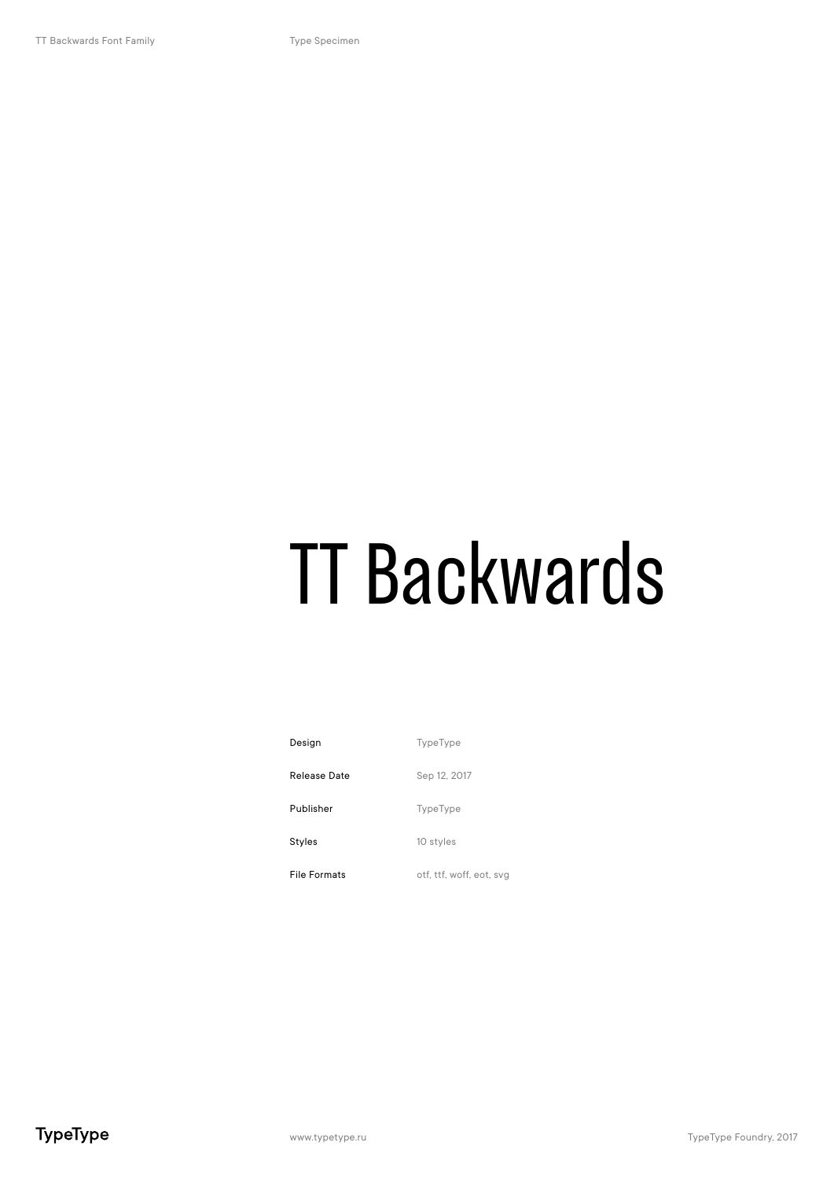# TT Backwards

| Design              | <b>TypeType</b>          |
|---------------------|--------------------------|
| Release Date        | Sep 12, 2017             |
| Publisher           | <b>TypeType</b>          |
| Styles              | 10 styles                |
| <b>File Formats</b> | otf, ttf, woff, eot, svg |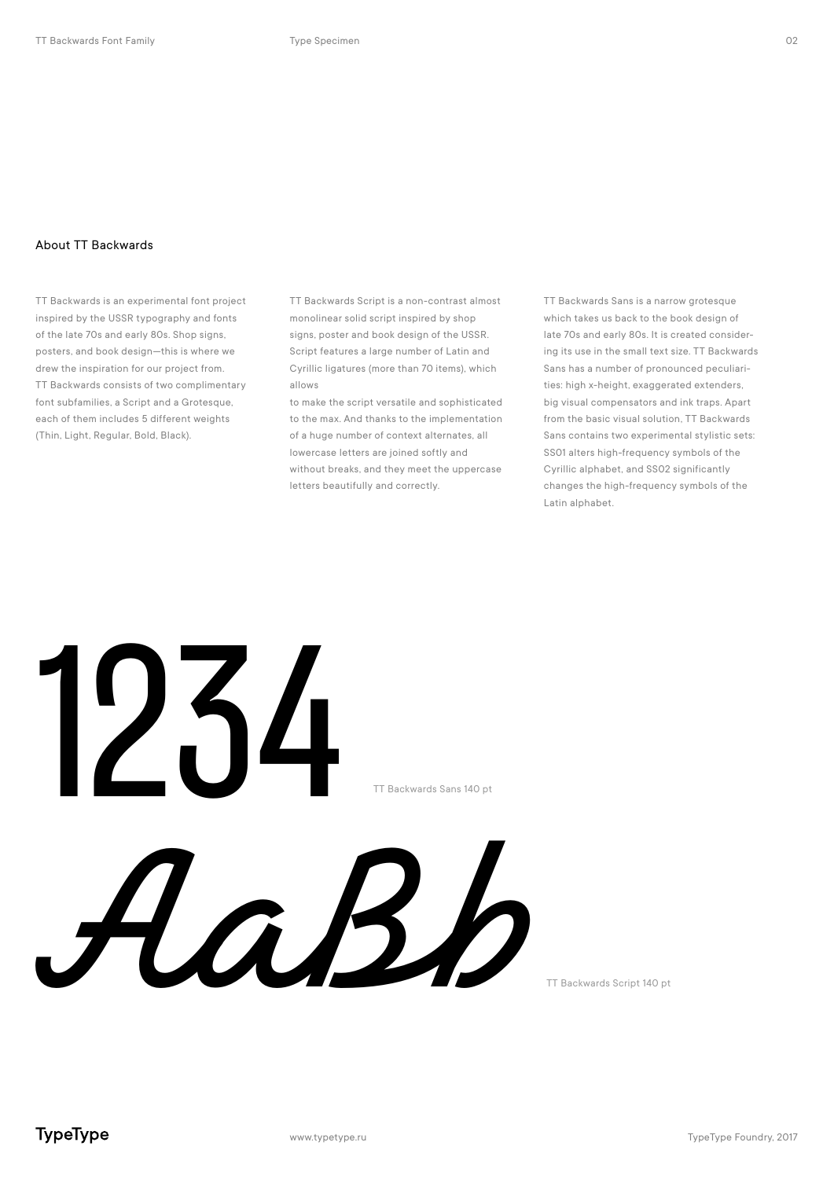#### About TT Backwards

TT Backwards is an experimental font project inspired by the USSR typography and fonts of the late 70s and early 80s. Shop signs, posters, and book design—this is where we drew the inspiration for our project from. TT Backwards consists of two complimentary font subfamilies, a Script and a Grotesque, each of them includes 5 different weights (Thin, Light, Regular, Bold, Black).

TT Backwards Script is a non-contrast almost monolinear solid script inspired by shop signs, poster and book design of the USSR. Script features a large number of Latin and Cyrillic ligatures (more than 70 items), which allows

to make the script versatile and sophisticated to the max. And thanks to the implementation of a huge number of context alternates, all lowercase letters are joined softly and without breaks, and they meet the uppercase letters beautifully and correctly.

TT Backwards Sans is a narrow grotesque which takes us back to the book design of late 70s and early 80s. It is created considering its use in the small text size. TT Backwards Sans has a number of pronounced peculiarities: high x-height, exaggerated extenders, big visual compensators and ink traps. Apart from the basic visual solution, TT Backwards Sans contains two experimental stylistic sets: SS01 alters high-frequency symbols of the Cyrillic alphabet, and SS02 significantly changes the high-frequency symbols of the Latin alphabet.



TT Backwards Script 140 pt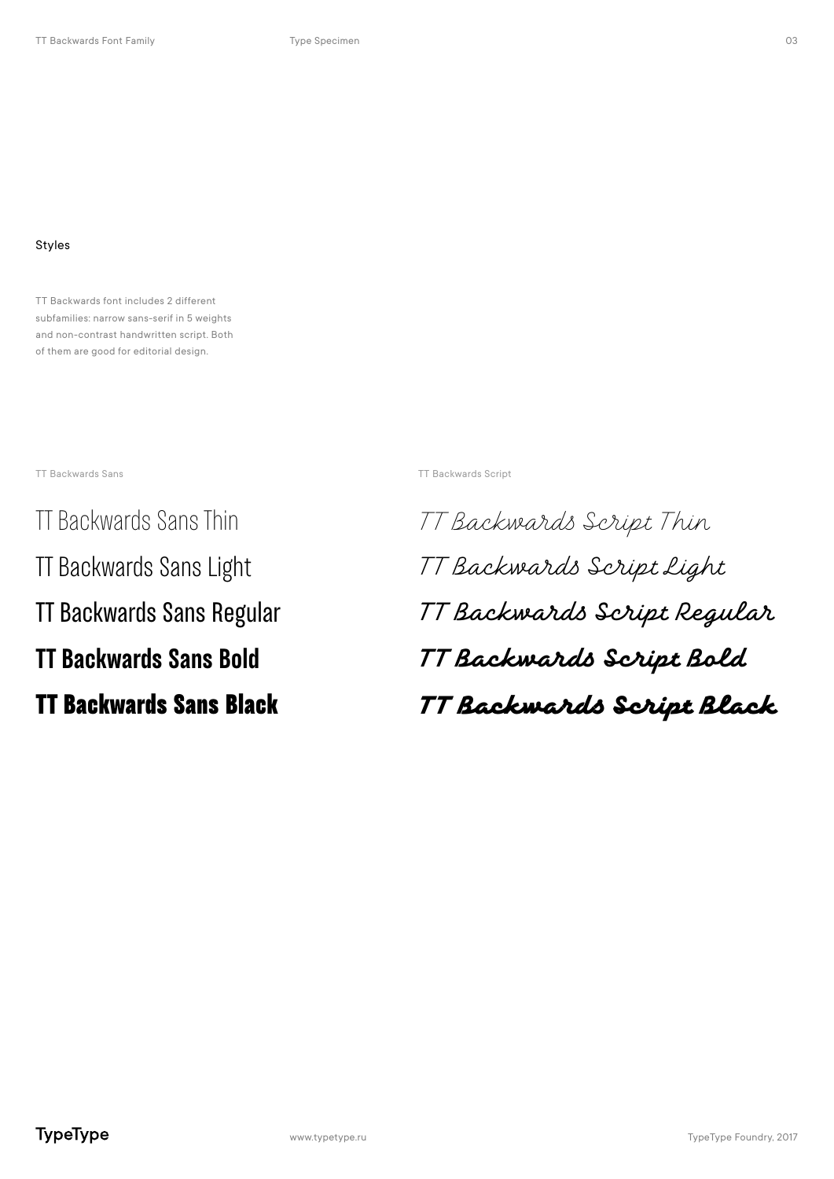## Styles

TT Backwards font includes 2 different subfamilies: narrow sans-serif in 5 weights and non-contrast handwritten script. Both of them are good for editorial design.

TT Backwards Sans TT Backwards Script

TT Backwards Sans Thin TT Backwards Sans Light TT Backwards Sans Regular **TT Backwards Sans Bold** TT Backwards Sans Black

TT Backwards Script Thin TT Backwards Script Light TT Backwards Script Regular **TT Backwards Script Bold** TT Backwards Script Black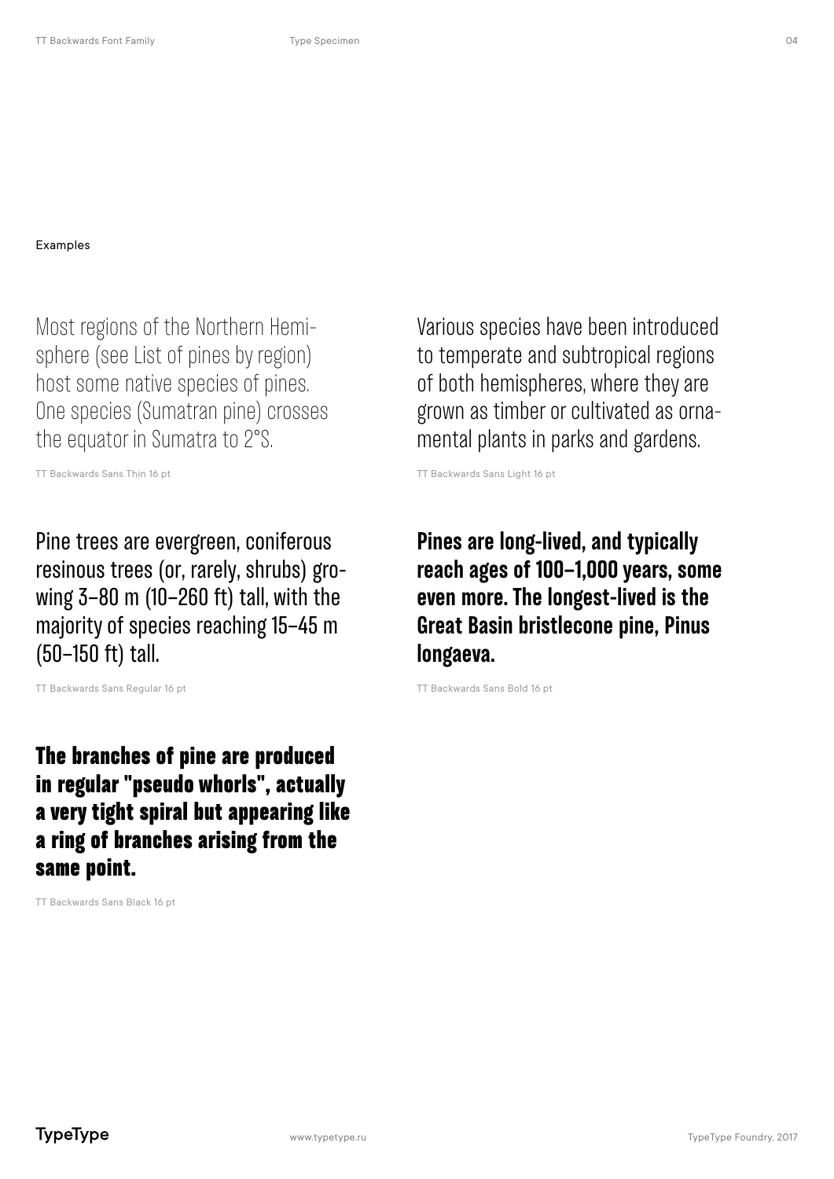#### Examples

Most regions of the Northern Hemisphere (see List of pines by region) host some native species of pines. One species (Sumatran pine) crosses the equator in Sumatra to 2°S.

TT Backwards Sans Thin 16 pt

Pine trees are evergreen, coniferous resinous trees (or, rarely, shrubs) growing 3–80 m (10–260 ft) tall, with the majority of species reaching 15–45 m (50–150 ft) tall.

TT Backwards Sans Regular 16 pt

The branches of pine are produced in regular "pseudo whorls", actually a very tight spiral but appearing like a ring of branches arising from the same point.

TT Backwards Sans Black 16 pt

Various species have been introduced to temperate and subtropical regions of both hemispheres, where they are grown as timber or cultivated as ornamental plants in parks and gardens.

TT Backwards Sans Light 16 pt

**Pines are long-lived, and typically reach ages of 100–1,000 years, some even more. The longest-lived is the Great Basin bristlecone pine, Pinus longaeva.**

TT Backwards Sans Bold 16 pt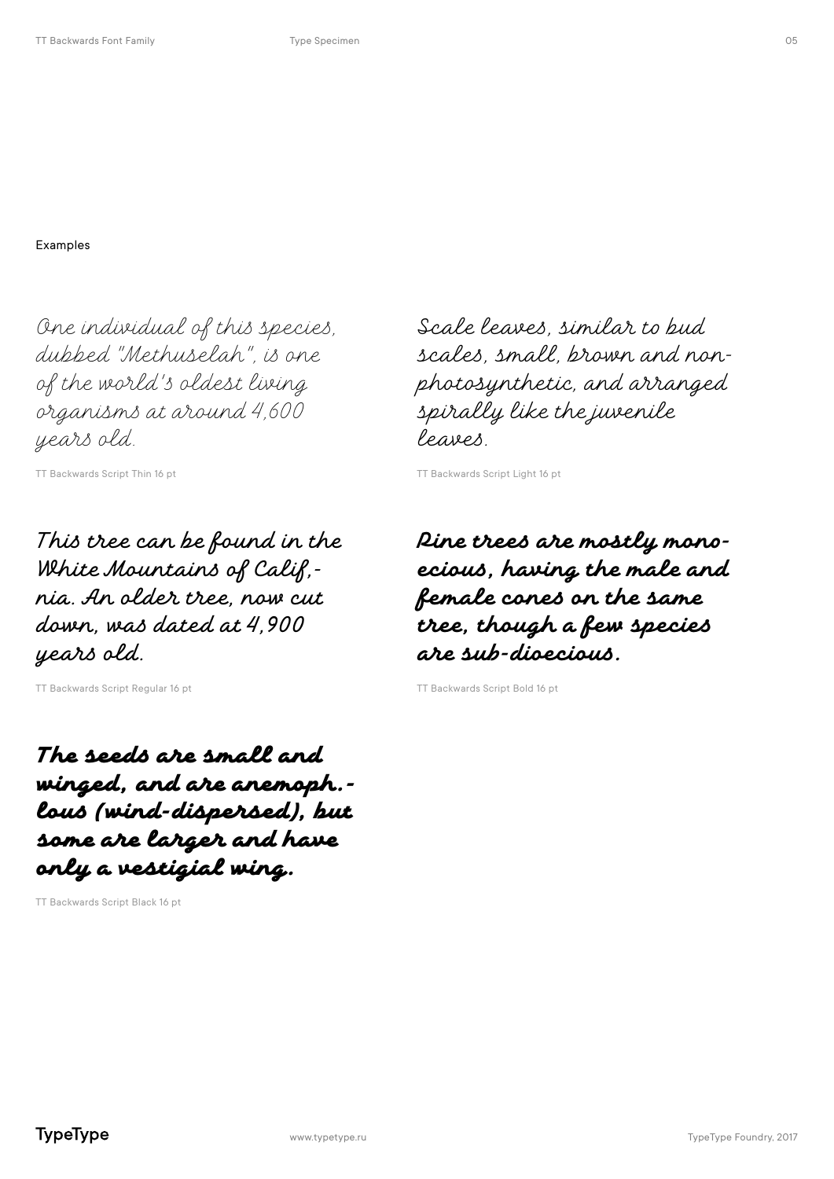One individual of this species, dubbed "Methuselah", is one of the world's oldest living ganisms at around 4,600 years old.

TT Backwards Script Thin 16 pt

This tree can be found in the White Mountains of Calif,nia. An older tree, now cut down, was dated at 4,900 years old.

TT Backwards Script Regular 16 pt

The seeds are small and winged, and are anemoph. lous (wind-dispersed), but some are larger and have only a vestigial wing.

TT Backwards Script Black 16 pt

Scale leaves, similar to bud scales, small, brown and nonphotynthetic, and arranged spirally like the juvenile leaves.

TT Backwards Script Light 16 pt

Pine trees are mostly mono**ecious, having the male and female cones on the same tree, though a few species are sub-dioecious.**

TT Backwards Script Bold 16 pt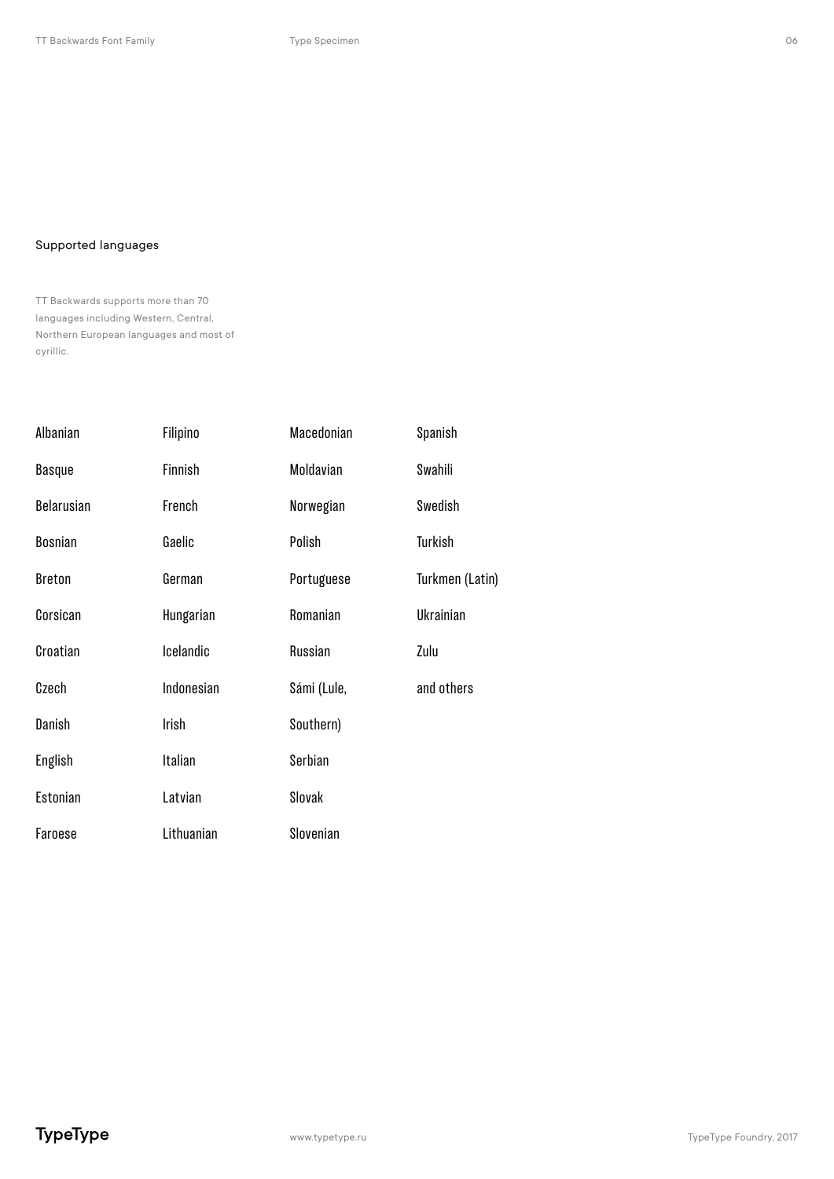### Supported languages

TT Backwards supports more than 70 languages including Western, Central, Northern European languages and most of cyrillic.

| Albanian       | Filipino   | Macedonian  | Spanish         |
|----------------|------------|-------------|-----------------|
| <b>Basque</b>  | Finnish    | Moldavian   | Swahili         |
| Belarusian     | French     | Norwegian   | Swedish         |
| <b>Bosnian</b> | Gaelic     | Polish      | Turkish         |
| <b>Breton</b>  | German     | Portuguese  | Turkmen (Latin) |
| Corsican       | Hungarian  | Romanian    | Ukrainian       |
| Croatian       | Icelandic  | Russian     | Zulu            |
| Czech          | Indonesian | Sámi (Lule, | and others      |
| Danish         | Irish      | Southern)   |                 |
| English        | Italian    | Serbian     |                 |
| Estonian       | Latvian    | Slovak      |                 |
| Faroese        | Lithuanian | Slovenian   |                 |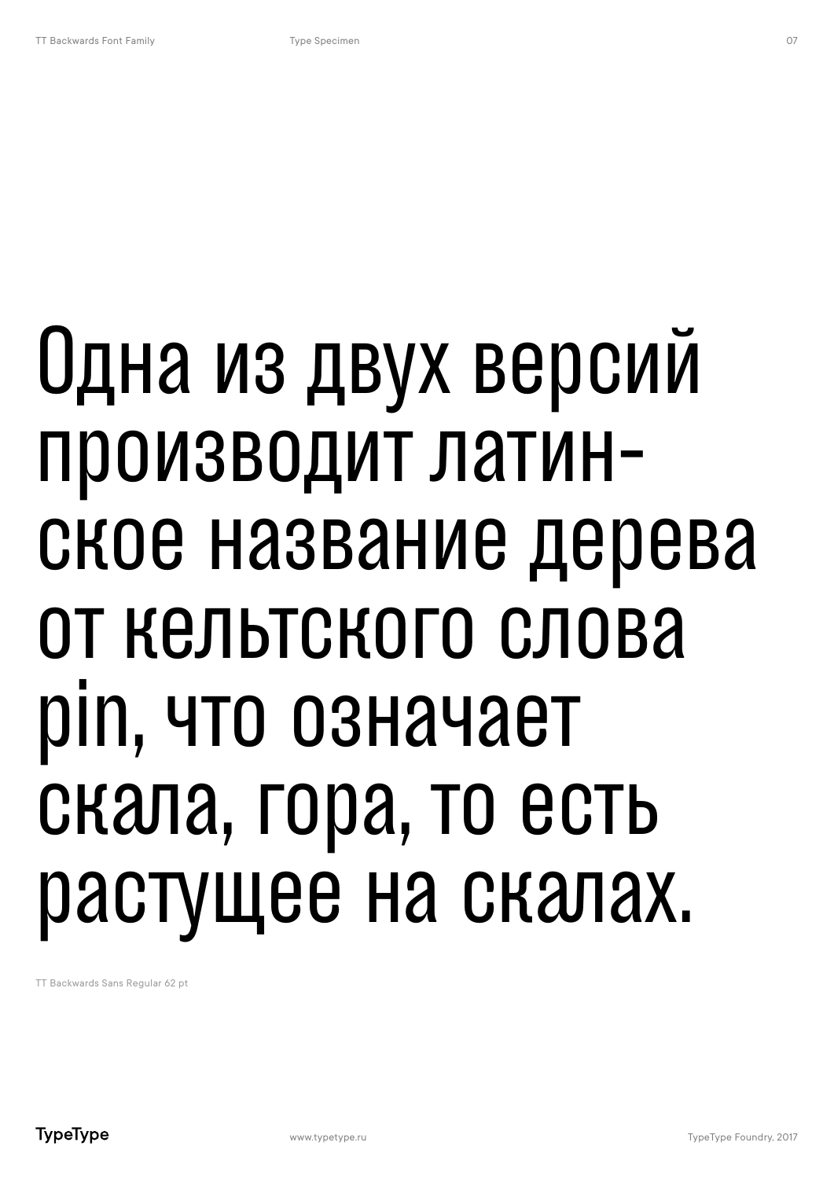# Одна из двух версий производит латинское название дерева от кельтского слова pin, что означает скала, гора, то есть растущее на скалах.

TT Backwards Sans Regular 62 pt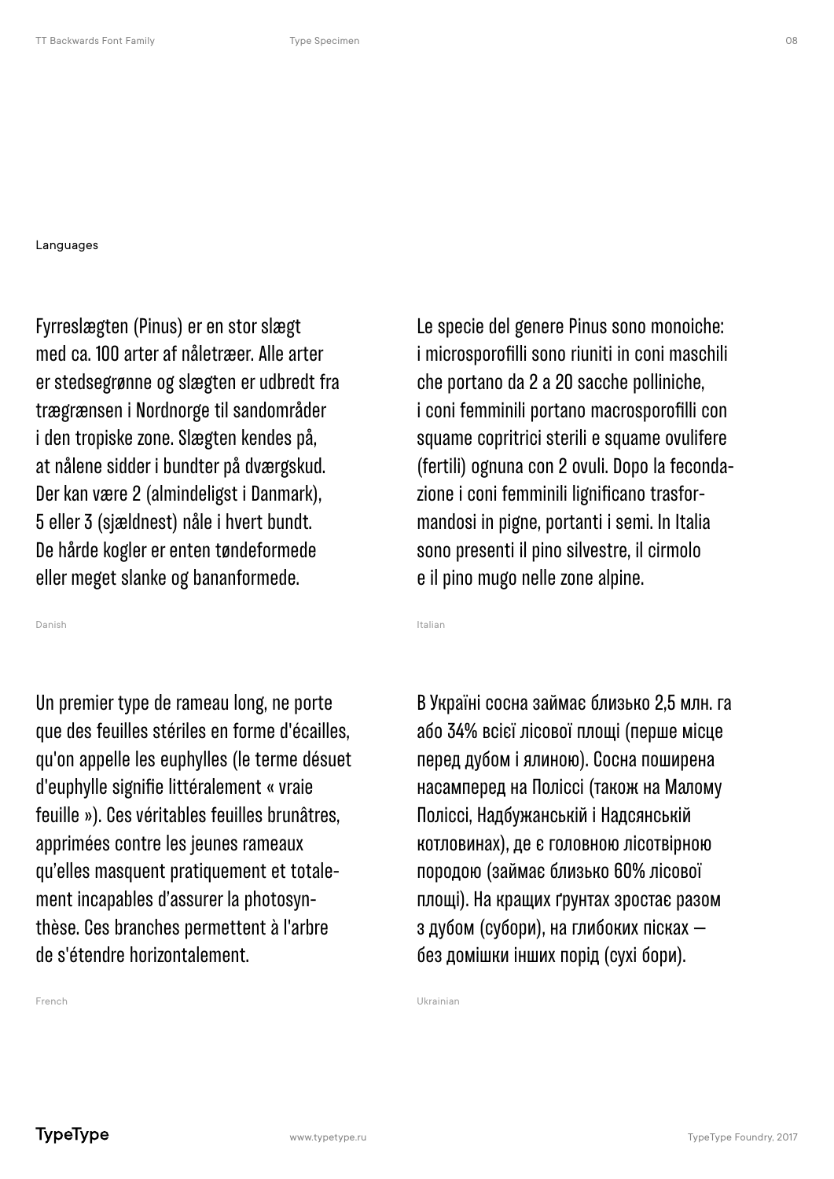#### Languages

Fyrreslægten (Pinus) er en stor slægt med ca. 100 arter af nåletræer. Alle arter er stedsegrønne og slægten er udbredt fra trægrænsen i Nordnorge til sandområder i den tropiske zone. Slægten kendes på, at nålene sidder i bundter på dværgskud. Der kan være 2 (almindeligst i Danmark), 5 eller 3 (sjældnest) nåle i hvert bundt. De hårde kogler er enten tøndeformede eller meget slanke og bananformede.

Danish

Un premier type de rameau long, ne porte que des feuilles stériles en forme d'écailles, qu'on appelle les euphylles (le terme désuet d'euphylle signifie littéralement « vraie feuille »). Ces véritables feuilles brunâtres, apprimées contre les jeunes rameaux qu'elles masquent pratiquement et totalement incapables d'assurer la photosynthèse. Ces branches permettent à l'arbre de s'étendre horizontalement.

Le specie del genere Pinus sono monoiche: i microsporofilli sono riuniti in coni maschili che portano da 2 a 20 sacche polliniche, i coni femminili portano macrosporofilli con squame copritrici sterili e squame ovulifere (fertili) ognuna con 2 ovuli. Dopo la fecondazione i coni femminili lignificano trasformandosi in pigne, portanti i semi. In Italia sono presenti il pino silvestre, il cirmolo e il pino mugo nelle zone alpine.

Italian

Ukrainian

В Україні сосна займає близько 2,5 млн. га або 34% всієї лісової площі (перше місце перед дубом і ялиною). Сосна поширена насамперед на Поліссі (також на Малому Поліссі, Надбужанській і Надсянській котловинах), де є головною лісотвірною породою (займає близько 60% лісової площі). На кращих ґрунтах зростає разом з дубом (субори), на глибоких пісках без домішки інших порід (сухі бори).

French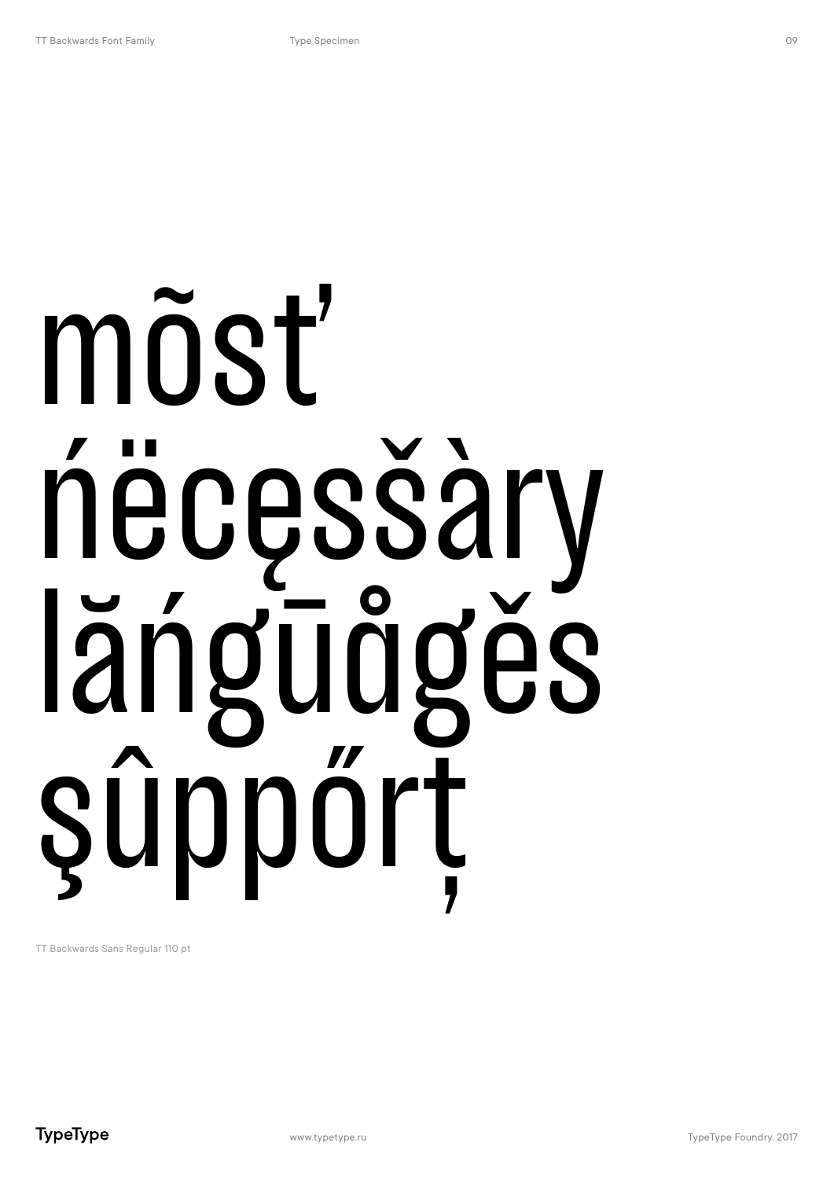# mõsť necęsšàr längudges sûpport

TT Backwards Sans Regular 110 pt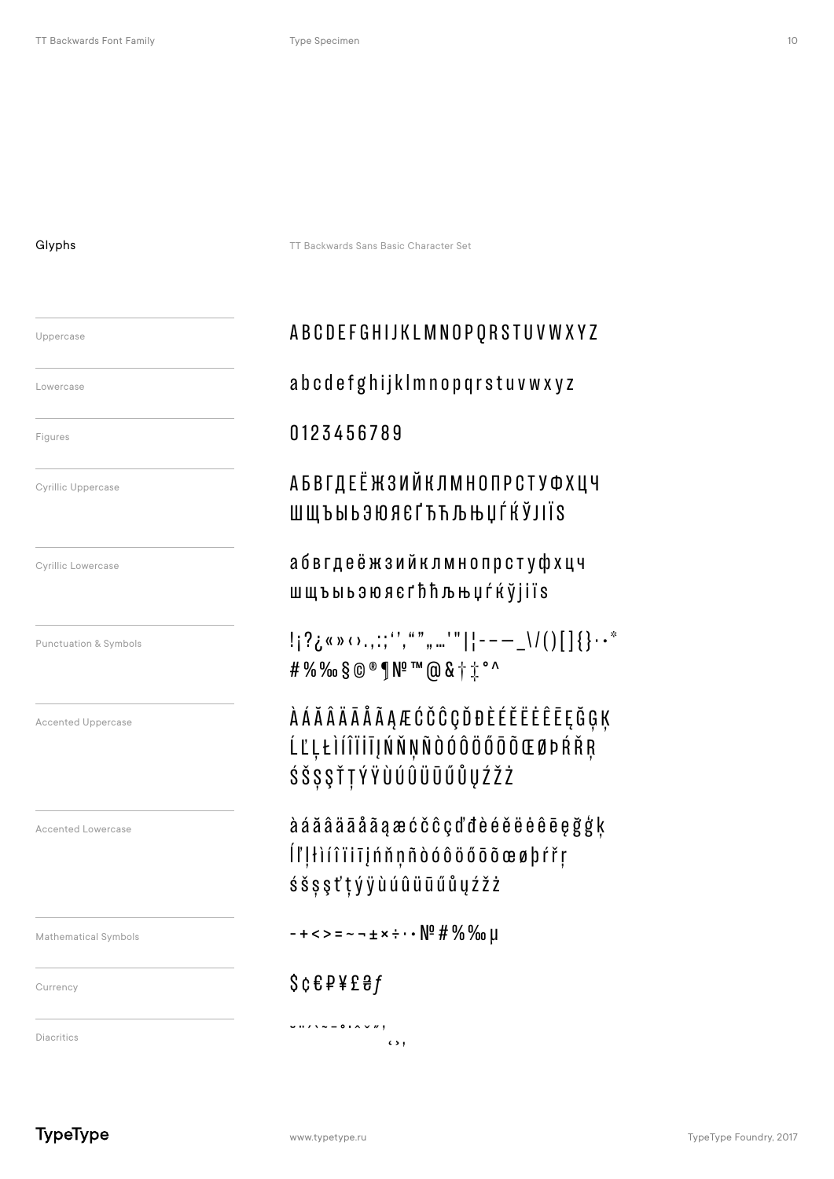#### Glyphs

Uppercase Lowercase Figures **Cyrillic Uppercase Cyrillic Lowercase** Punctuation & Symbols **Accented Uppercase** Accented Lowercase Mathematical Symbols Currency

TT Backwards Sans Basic Character Set

# **ABCDEFGHIJKLMNOPQRSTUVWXYZ**

# abcdefghijklmnopqrstuvwxyz

## 0123456789

# АБВГДЕЁ ЖЗИЙКЛМНОПРСТУФХЦЧ ШЩЪЫЬЗЮЯЄГЋЋЉЊЏЃЌЎЈІЇЅ

абвгдеёжзийклмнопрстуфхцч ШЩЪЫЬЭЮЯЄГЂЋЉЊЏЃЌЎ| İ ÏS

 $|S_{i}|^{2}$  (  $\sqrt{2}$  (  $\sqrt{2}$  (  $\sqrt{2}$  ,  $\sqrt{2}$  ,  $\sqrt{2}$  ,  $\sqrt{2}$  ,  $\sqrt{2}$  ,  $\sqrt{2}$  ,  $\sqrt{2}$  ,  $\sqrt{2}$  ,  $\sqrt{2}$  ,  $\sqrt{2}$  ,  $\sqrt{2}$  ,  $\sqrt{2}$  ,  $\sqrt{2}$  ,  $\sqrt{2}$  ,  $\sqrt{2}$  ,  $\sqrt{2}$  ,  $\sqrt{2}$  ,  $\sqrt{2}$  ,  $\sqrt{2}$  #%%%8@®¶Nº™@&†i°^

**AAAAAAAAAECCCCQDDEEEEEEEEGGK** ĹĽĻŁÌÍÎÏİĪļŃŇŅÑÒÓÔÖŐŌÕŒØÞŔŘŖ ŚŠȘŞŤŢÝŸÙÚÛÜŪŰŮŲŹŽŻ

à á ă â ä ā å ā a æ ć č ĉ ç d'đ è é ě ë ė ê ē e ğ ģ ķ Íľ!łìíîïiījńňņñòóôöőōõœøþŕřŗ śš ș ș t' t ý ÿ ù ú û ü ū ű ů ų ź ž ż

 $-+<-=-+\times:-\sqrt{2}\# \% \%$  U

 $\epsilon$ ,  $\epsilon$ ,

# $$c & P$   $$e & P$

 $\nu$   $\cdots$   $\lambda$   $\sim$   $-$  0  $\cdots$   $\sim$   $\cdots$ 

**Diacritics** 

**TypeType**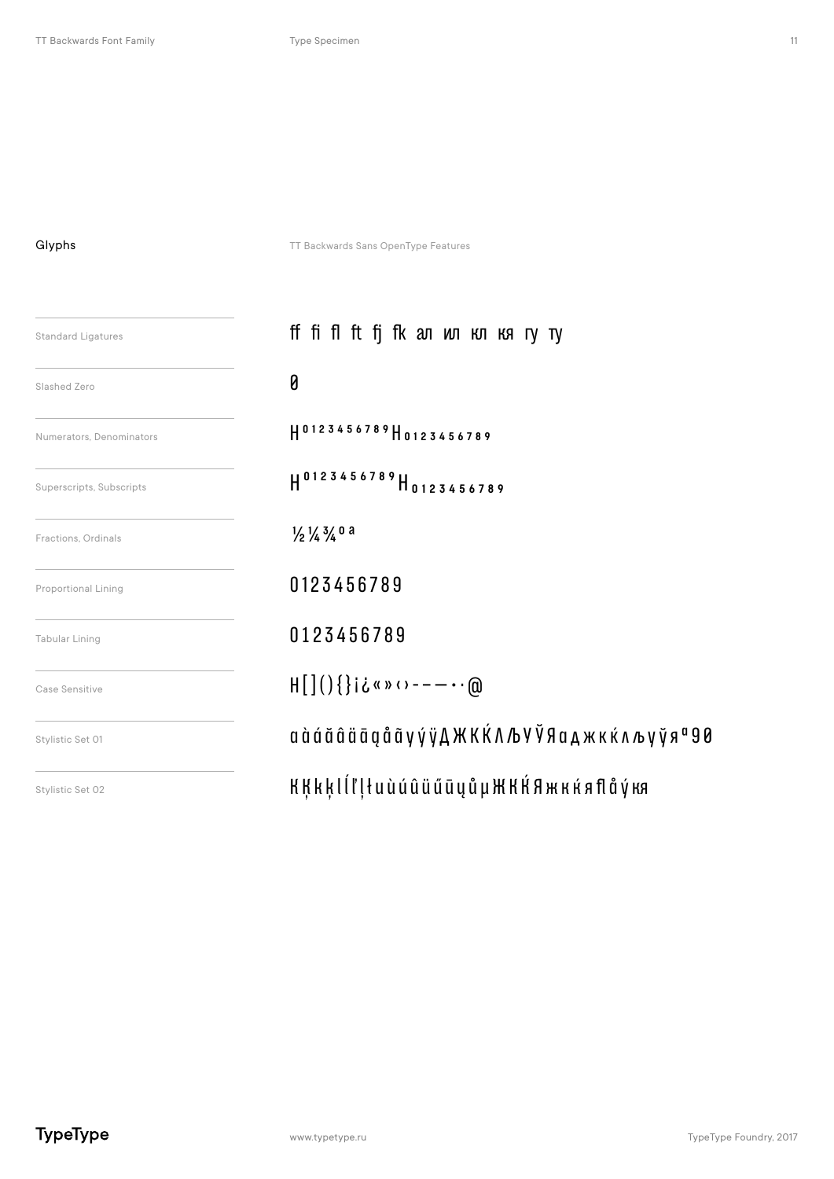### Glyphs

TT Backwards Sans OpenType Features

| <b>Standard Ligatures</b>  | ff fi f1 ft fj fk an wn кл кя гу ту                                   |
|----------------------------|-----------------------------------------------------------------------|
| Slashed Zero               | 0                                                                     |
| Numerators, Denominators   | H0123456789H0123456789                                                |
| Superscripts, Subscripts   | H0123456789H0123456789                                                |
| Fractions, Ordinals        | $\frac{1}{2}\frac{1}{4}\frac{3}{4}$ 0 a                               |
| <b>Proportional Lining</b> | 0123456789                                                            |
| <b>Tabular Lining</b>      | 0123456789                                                            |
| Case Sensitive             | $H[\,](\,)$ {}i¿«» $\cdots$ - - $\cdots$ @                            |
| Stylistic Set 01           | а à á ă â ä ā g å ã y ý ÿ Д Ж К Ќ Л Љ У Ў Я а д ж к ќ л љ у ў я ª 9 0 |
| Stylistic Set 02           | KĶkķlĺľļłuùúûüűūųůµЖКЌЯжкќяflåýкя                                     |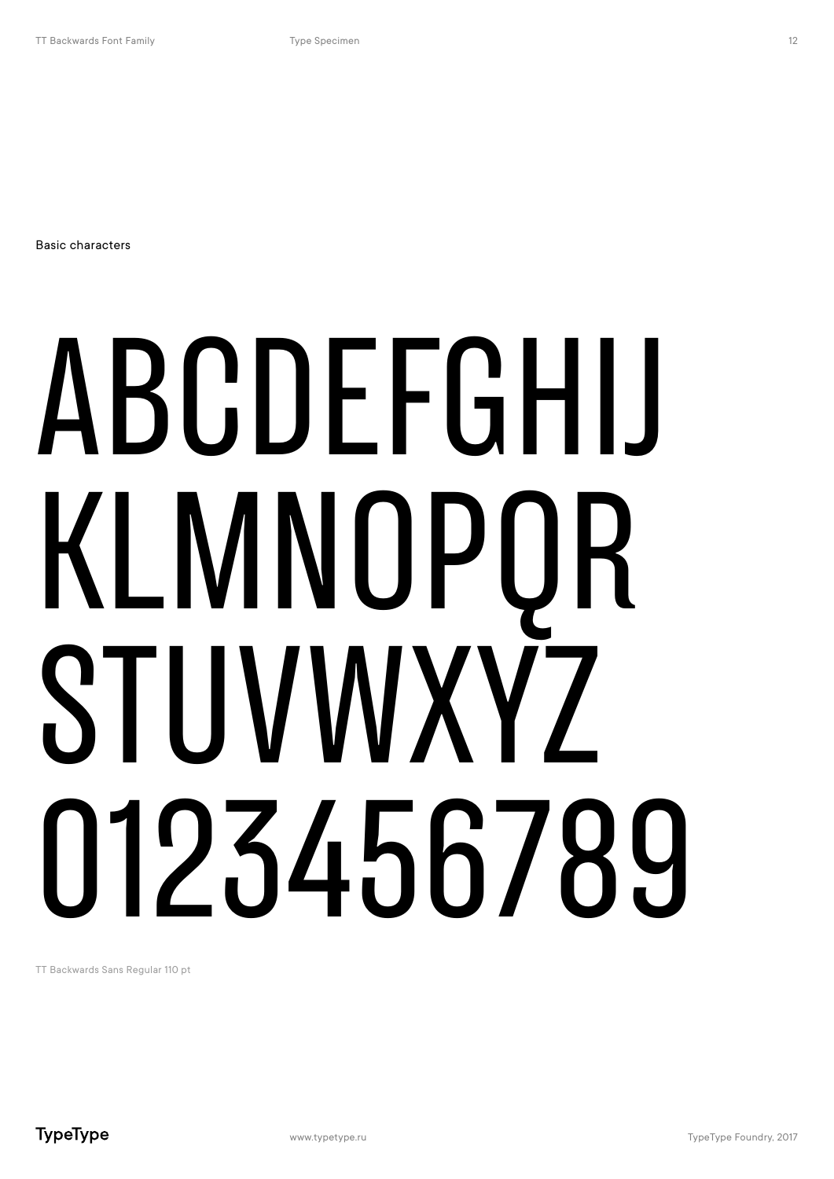Basic characters

# ABCDEFGHIJ KLMNOPQR STIJVWXY7 0123456789

TT Backwards Sans Regular 110 pt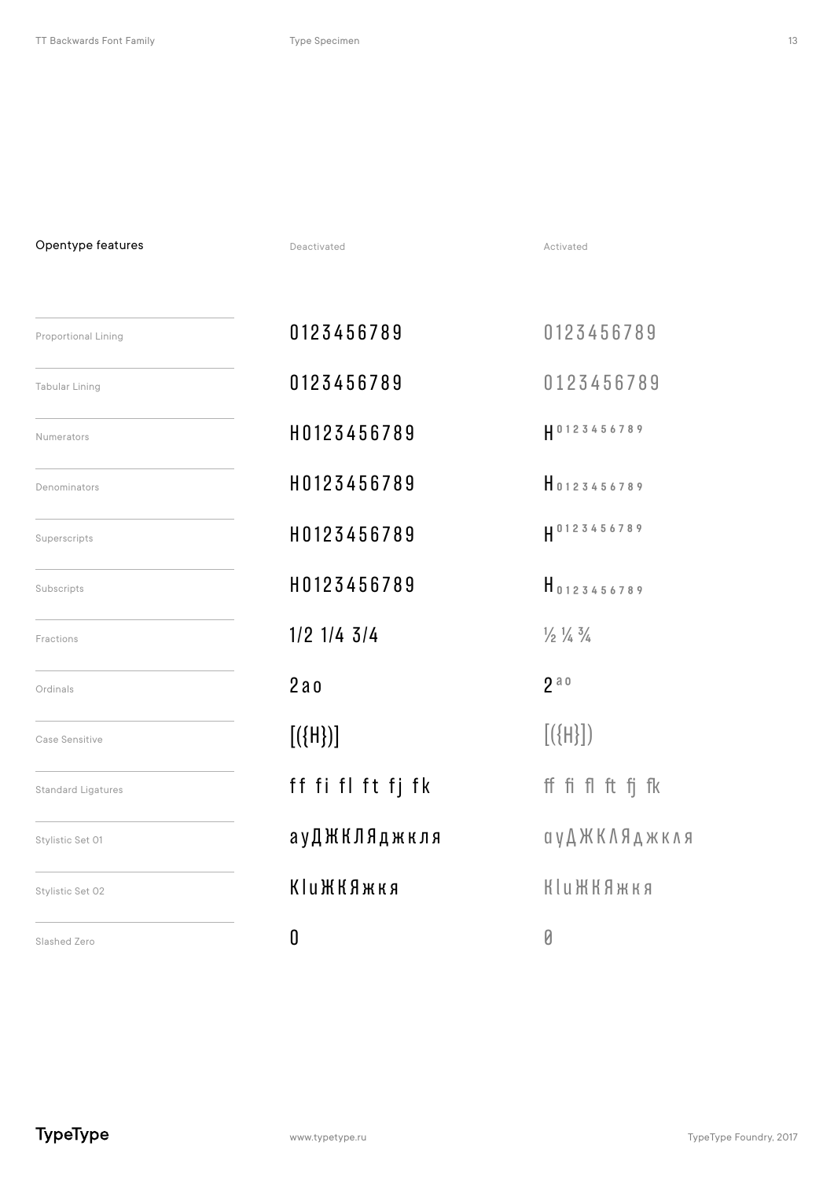Opentype features

Deactivated

Activated

| <b>Proportional Lining</b> | 0123456789        | 0123456789                                |
|----------------------------|-------------------|-------------------------------------------|
| Tabular Lining             | 0123456789        | 0123456789                                |
| <b>Numerators</b>          | H0123456789       | H0123456789                               |
| Denominators               | H0123456789       | 10123456789                               |
| Superscripts               | H0123456789       | H 0123456789                              |
| Subscripts                 | H0123456789       | $H_{0123456789}$                          |
| Fractions                  | $1/2$ $1/4$ $3/4$ | $\frac{1}{2}$ $\frac{1}{4}$ $\frac{3}{4}$ |
| Ordinals                   | 2a <sub>0</sub>   | 2a0                                       |
| Case Sensitive             | $[(\{H\})]$       | $[(\{H\}])$                               |
| <b>Standard Ligatures</b>  | ff fi fl ft fj fk | ff fi fl ft fj fk                         |
| Stylistic Set 01           | ауДЖКЛЯджкля      | ауДЖКЛЯджкля                              |
| Stylistic Set 02           | <b>КІиЖКЯжкя</b>  | <b>Klu ЖКЯжкя</b>                         |
| Slashed Zero               | 0                 | Ø                                         |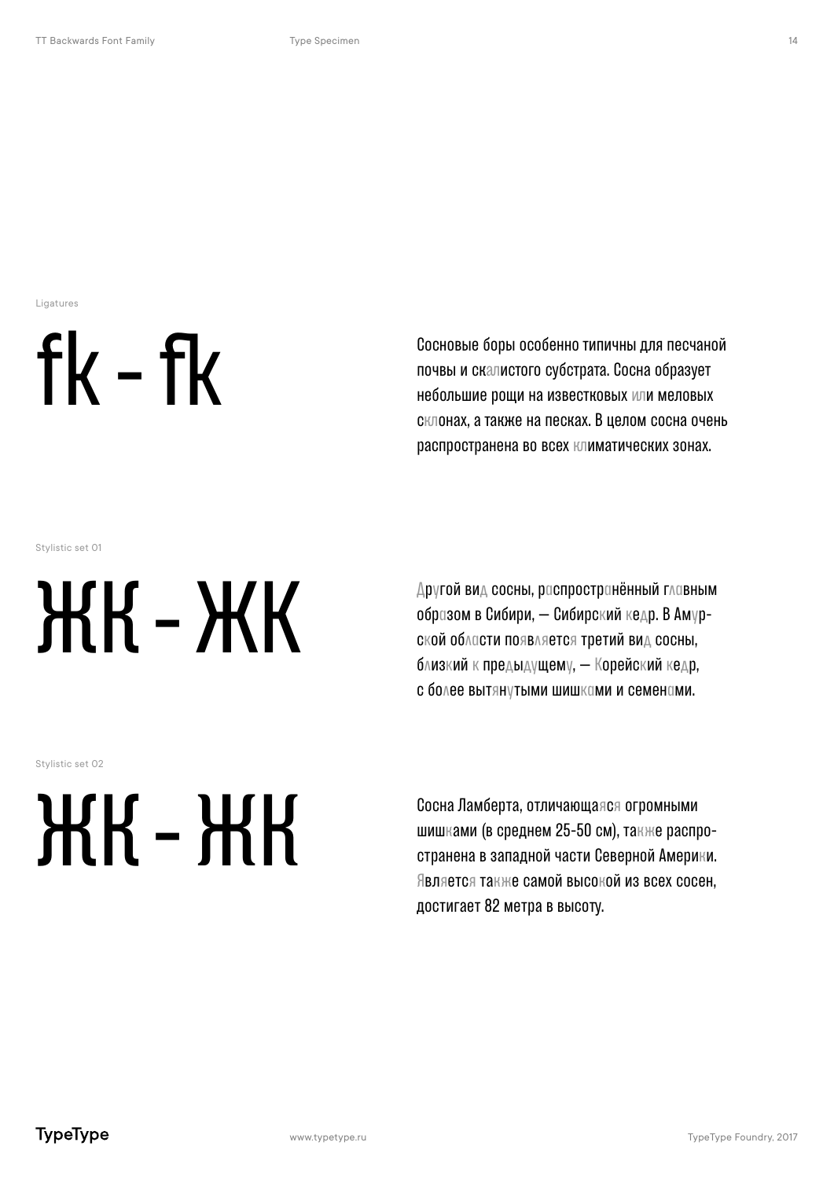Ligatures



Сосновые боры особенно типичны для песчаной почвы и ск истого субстрата. Сосна образует небольшие роши на известковых или меловых склонах, а также на песках. В целом сосна очень распространена во всех климатических зонах.

Stylistic set 01

# ЖК-ЖК

Stylistic set 02

# ЖК-ЖК

образом в Сибири, — Сибирский кедр. В Амурской области появляется третий вид сосны, близкий к предыдущему, — Корейский кедр, с более вытянутыми шишками и семенами.

Другой вид сосны, распространённый главным

Сосна Ламберта, отличающаяся огромными шишками (в среднем 25-50 см), также распространена в западной части Северной Америки. Является также самой высокой из всех сосен, достигает 82 метра в высоту.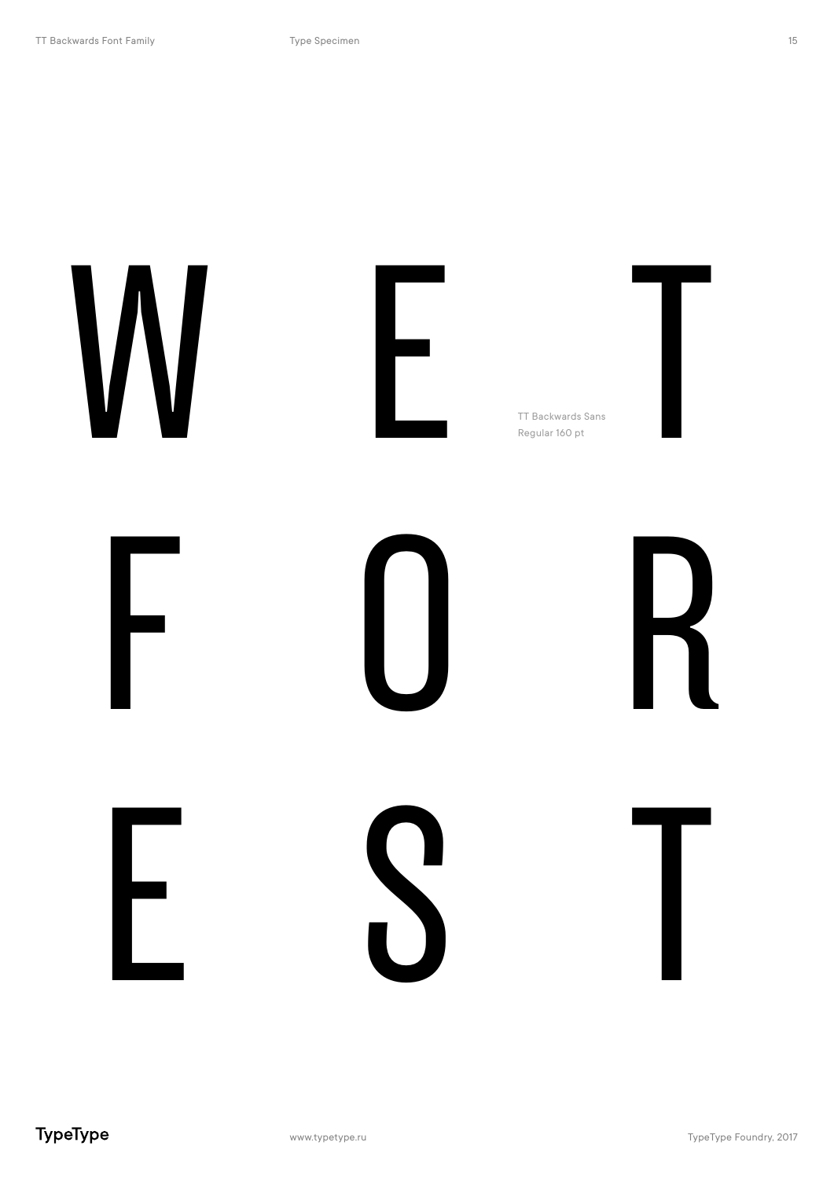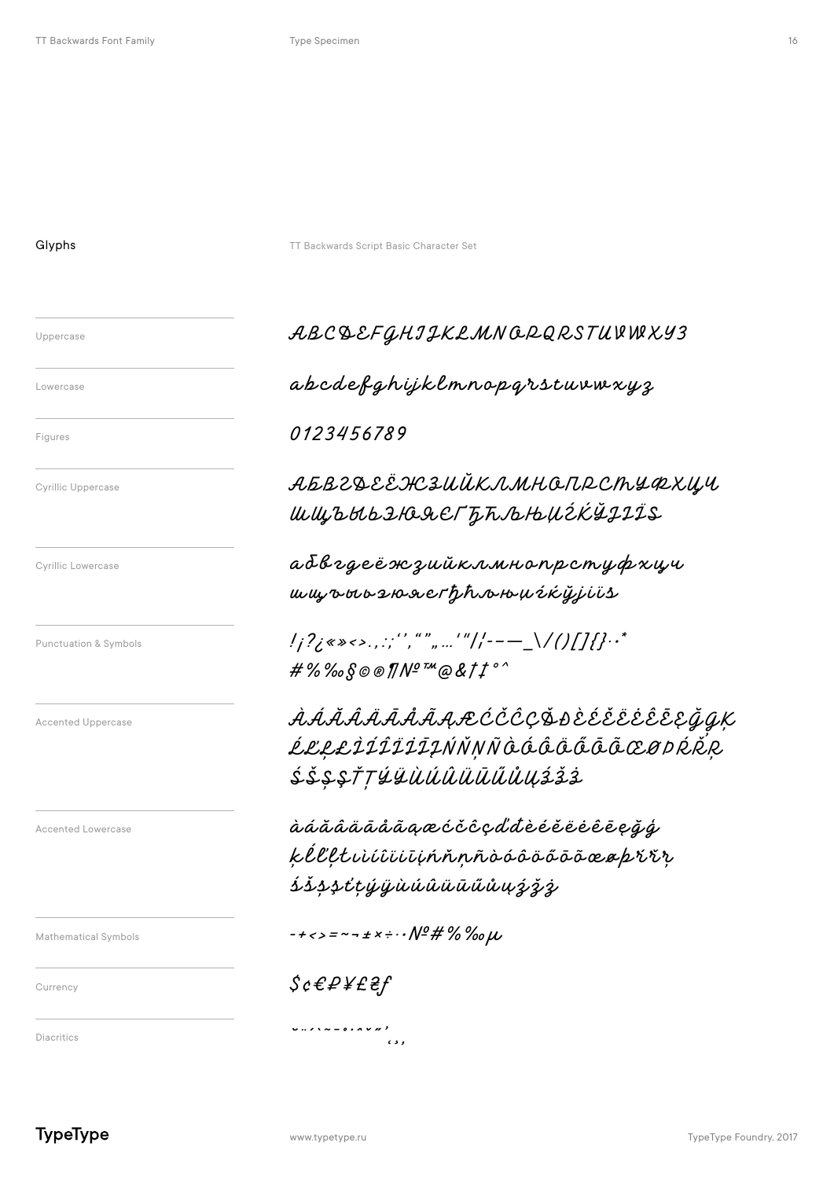#### Glyphs

Uppercase

Lowercase

Figures

**Cyrillic Uppercase** 

**Cyrillic Lowercase** 

Punctuation & Symbols

**Accented Uppercase** 

Accented Lowercase

Mathematical Symbols

TT Backwards Script Basic Character Set

# ABCQEFGHIIKLMNQRQRSTUVWXY3

abcdefghijklmnopgrstuvwxyz

## 0123456789

ѦҌҍгд҈Ӕ҈ӝӟѠЙҜлмнапрсһуфхич ШЩЪНЬДЮДЕГЪЋЉЊИ́ СКЎЈІЇЅ

абвгдеёж зийклмнопрстуфхци ww.owo210.sverthhro164cQjivis

 $\#$ %%%©©® $\#$ Nº™@&tt°

*ÀÁĂÂÂĀĀÅÂĄÆĆČĈÇ*ĎĐÈÉĚËĖĒĒĘĞQK ĹĽŁŁÌÍĨĨĨĪĮŃŇNÑÒÓÔÔÕÕŌŒØÞŔŘR ŚŠŞŞŤTÝŸÙÚÛÜŪŰŰŮŲŹŽŻ

àáăâäāååãaæćčĉçďdèéěëèêēeğģ kélltuiúiūiūhňnñòóôöőōōœaprrr *ŚŠSSťtýÿùúûüūűůuýžž* 

 $-+$ <>=~- ± x ÷  $\cdot\cdot$  Nº # % ‰  $\mu$ 

 $\epsilon$  s  $\epsilon$ 

 $\mathcal{S}$ c $\mathcal{E}$ P¥£ $\mathcal{E}$ f

 $\cup \ldots \times \cup \cup \cup \cup \cup$ 

Diacritics

Currency

**TypeType** 

www.typetype.ru

TypeType Foundry, 2017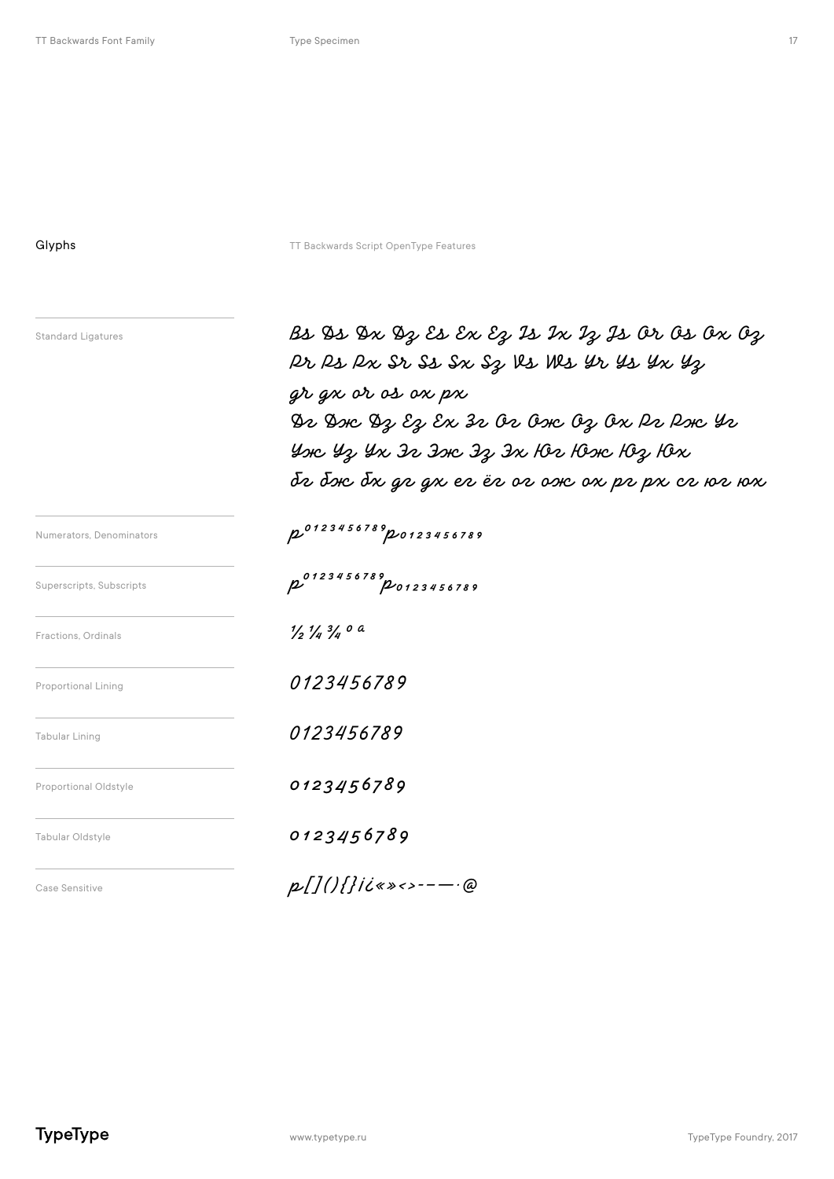Glyphs Guybes TT Backwards Script OpenType Features

| Standard Ligatures |  |  |  |  |  |  |  |
|--------------------|--|--|--|--|--|--|--|
|                    |  |  |  |  |  |  |  |
|                    |  |  |  |  |  |  |  |

 $B$ s  $\mathfrak{B}$ s  $\mathfrak{D}$ x  $\mathfrak{D}$ z  $\mathcal{E}$ s  $\mathcal{E}$ x  $\mathcal{E}$ z  $\mathcal{E}$ z  $\mathcal{E}$ z  $\mathcal{E}$ z  $\mathcal{E}$ z  $\mathcal{E}$ z  $\mathcal{E}$ z  $\mathcal{E}$ z  $\mathcal{E}$ z  $\mathcal{E}$ z  $\mathcal{E}$ z  $\mathcal{E}$ z  $\mathcal{E}$ z  $\mathcal{E}$  $\rho$ r  $\rho$ s  $\rho$ x Sr  $s$ s  $s$ x  $s$ z  $v$ s Ms  $\mu$ r  $\mu$ s  $\mu$ x  $\mu$ z  $gr$  gx or os ox px  $9$   $2$   $9$   $9$   $2$   $2$   $3$   $0$   $0$   $0$   $0$   $0$   $1$   $1$   $0$   $1$   $0$   $1$   $0$   $1$   $0$   $1$   $0$   $0$   $0$   $0$   $0$   $0$   $-$  Yor 43 In In Donc 23 In 102 10se 103 10x Tr dr dr gr gr er ër or or or pr pr cr or w

Fractions, Ordinals  $\frac{1}{2}\frac{1}{4}\frac{3}{4}$  **0 a** Numerators, Denominators **p<sup>0123456789</sup>p 0123456789** Superscripts, Subscripts Proportional Lining **0123456789** Tabular Lining **0123456789** Proportional Oldstyle **COLLUME** 

 $\frac{1}{2}$ 93456789

Tabular Oldstyle **0123456789** 

Case Sensitive **p**  $\begin{bmatrix} 1 \end{bmatrix}$  **p**  $\begin{bmatrix} 1 \end{bmatrix}$  **p**  $\begin{bmatrix} 1 \end{bmatrix}$  **f**  $\mathbf{i}$  **d**  $\mathbf{v}$  **s**  $\mathbf{v}$  **c**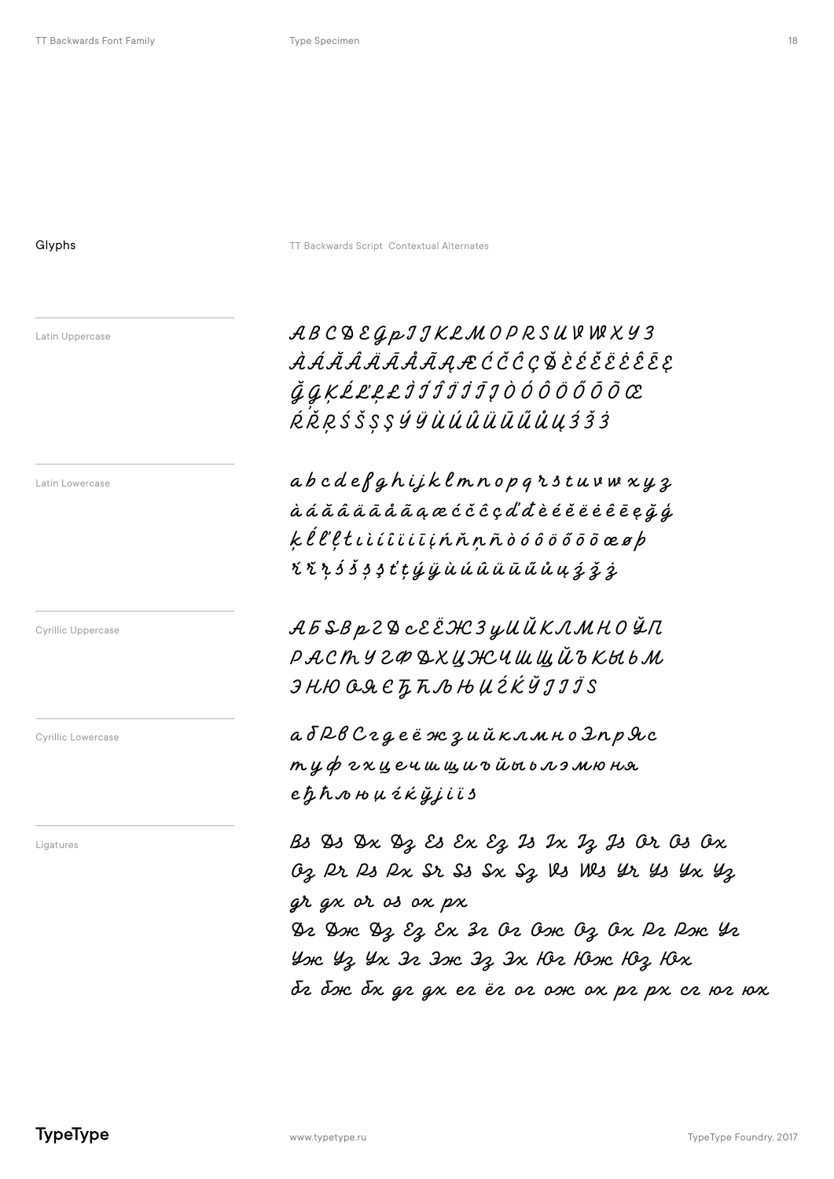| ٠ |  |  |  |
|---|--|--|--|
|   |  |  |  |
|   |  |  |  |

Glyphs **Contextual Alternates** TT Backwards Script Contextual Alternates Latin Uppercase Latin Lowercase A B C D E G p I J K L M O P R S U V W X Y Z À Á Ă Â Ä Ā Å Ã Ą Æ Ć Č Ĉ Ç Ď È É Ě Ë Ė Ê Ē Ę  $\check{q}\,\tilde{q}\,$ K Ĺ Ľ Ł Ł Ì Í Í Ï Ï Ī Į Ò Ó Ô Ö Ö Ő Ō Õ Œ  $R$   $\check R$   $R$   $S$   $\check S$   $S$   $S$   $\check g$   $\check u$   $\check u$   $\check u$   $\check u$   $\check u$   $\check u$   $\check u$   $\check g$   $\check s$   $\check s$  $ab\,c\,de\,e\,f\,g\,h\,ijk\,l\,m\,n\,o\,p\,q\,r\,s\,t\,u\,v\,w\,x\,y\,z$ à á ă â ä ā å ã ą æ ć č ĉ ç ď đ è é ě ë ė ê ē ę ğ ģ  $k\ell\ell$ l $t$ ı ì í î i ī į ń ň ņ ñ ò ó ô ö ő õ õ œ ø $p$  $i$   $i$   $i$   $j$   $j$   $j$   $k$   $j$   $k$   $j$   $j$   $k$   $j$   $j$   $k$   $j$   $k$   $j$   $k$   $j$   $k$   $j$   $k$   $j$   $j$   $k$   $j$   $j$   $k$   $j$   $j$   $k$   $j$   $j$   $k$   $j$   $j$   $k$   $j$   $j$   $k$   $j$   $j$   $j$   $j$   $k$   $j$   $j$   $j$   $j$   $j$   $j$   $j$   $j$   $j$  А Б Ѕ В р Г Д с Е ЁЖЗ у И Й К Л М Н О Ў П РАСТУ 2ФДХИНСЧШШЙ БКЫЬМ  $JHDOQACZADHULZKYJJIS$ аб Рв С гдеёж зийклмно Эпр Я с  $m$   $y$   $\phi$   $z$   $x$   $y$   $e$   $u$   $w$   $w$   $u$   $v$   $\tilde{u}$   $w$   $b$   $x$   $y$   $y$   $w$   $w$  $e \hbar \hbar$   $\omega$  њ  $\mu$  ź k  $\ddot{\mu}$ ji i s Cyrillic Uppercase Cyrillic Lowercase Ligatures  $\begin{array}{ccc} & & \beta_3 \gg \gg \gg \gg \gg \gg \mathcal{E} \end{array}$   $\mathcal{E} \mathcal{E} \mathcal{E} \mathcal{E} \mathcal{E} \mathcal{E} \mathcal{E} \mathcal{E} \mathcal{E} \mathcal{E} \mathcal{E} \mathcal{E} \mathcal{E} \mathcal{E} \mathcal{E} \mathcal{E} \mathcal{E} \mathcal{E} \mathcal{E} \mathcal{E} \mathcal{E} \mathcal{E} \mathcal{E} \mathcal{E} \mathcal{E} \mathcal{E} \mathcal{E} \mathcal{E} \mathcal$ OZ Pr Ps Px Sr Ss Sx Sz Vs Ws Yr Ys Yx Yz gr gx or os ox px De Donc Dz Ez Ex 32 O2 Oonc Oz Ox P2 Ponc Y2 YOK 43 YX IR IDK IZ IX HOR HOOK HOZ HOX Tr dr dr gr gr er ër or ook or pr pr cr 102 10x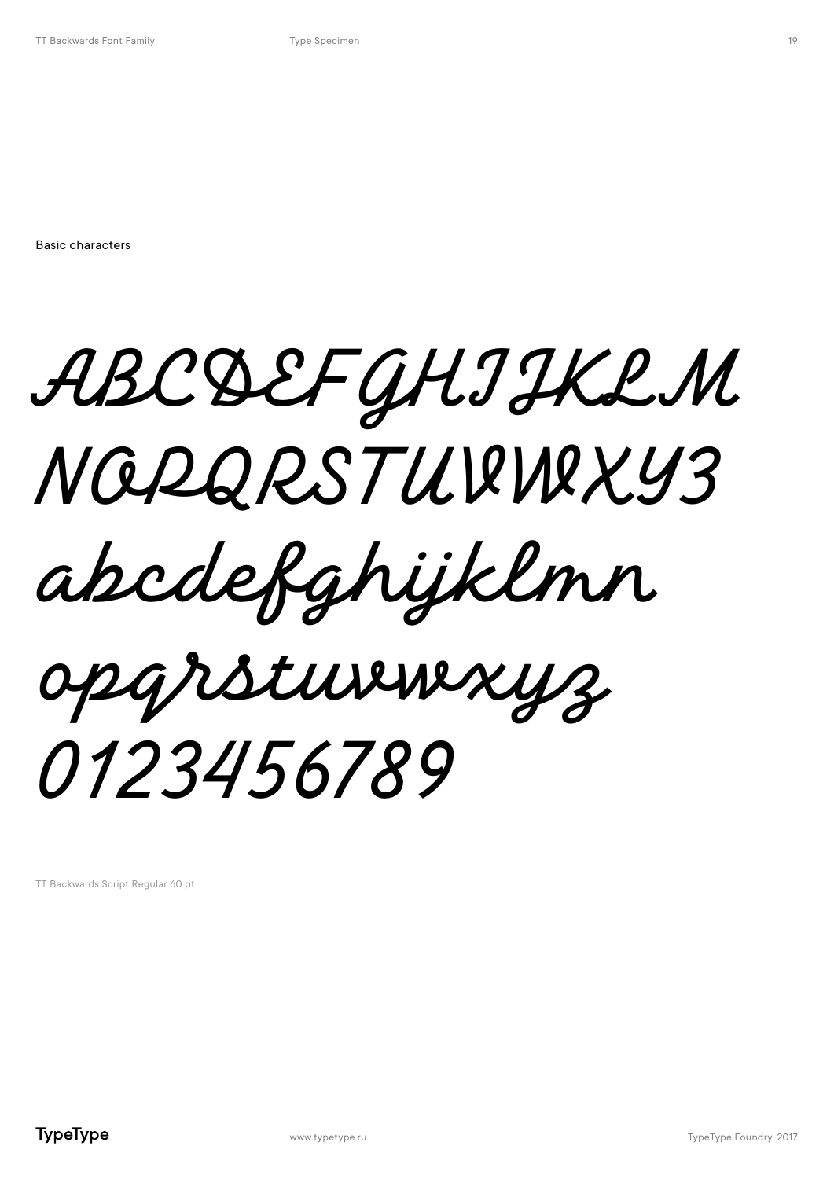Basic characters

ABCDEFGHIJKLM NOPQRSTUVWXYZ abcdefghijklmn opqrstuvwxyz 0123456789

TT Backwards Script Regular 60 pt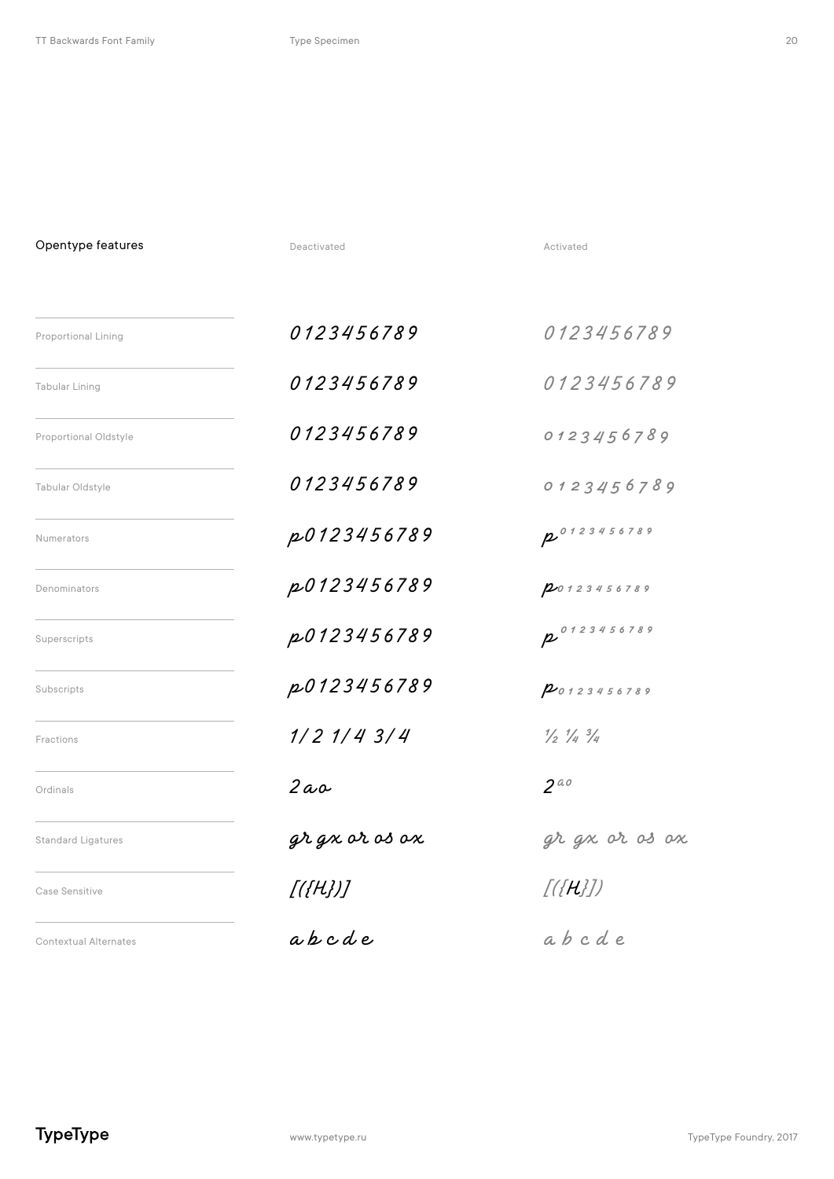Opentype features and a second contract of the Deactivated Activated Activated

| <b>Proportional Lining</b>   | 0123456789        | 0123456789                                |
|------------------------------|-------------------|-------------------------------------------|
| Tabular Lining               | 0123456789        | 0123456789                                |
| Proportional Oldstyle        | 0123456789        | 0123456789                                |
| Tabular Oldstyle             | 0123456789        | 0123456789                                |
| Numerators                   | p0123456789       | 20123456789                               |
| Denominators                 | p0123456789       | 20123456789                               |
| Superscripts                 | p0123456789       | p 0123456789                              |
| Subscripts                   | p0123456789       | 20123456789                               |
| Fractions                    | $1/2$ $1/4$ $3/4$ | $\frac{1}{2}$ $\frac{1}{4}$ $\frac{3}{4}$ |
| Ordinals                     | $2a$ o            | $2^{a}$                                   |
| <b>Standard Ligatures</b>    | gr gx or os ox    | gr gx or os ox                            |
| Case Sensitive               | [({H})]           | $[(\{H\}])$                               |
| <b>Contextual Alternates</b> | apcde             | abcde                                     |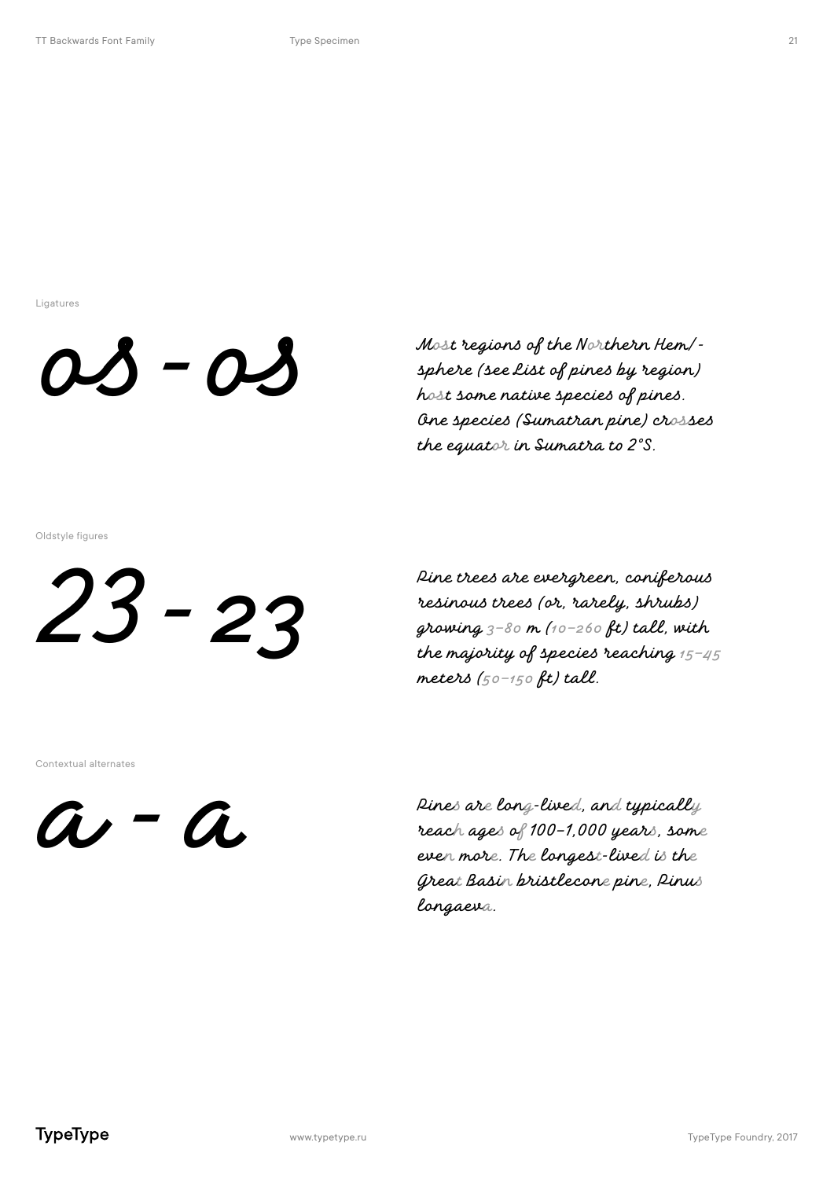Ligatures



Most regions of the Northern Hem/sphere (see list of pines by region) host some native species of pines. One species (Sumatran pine) crosses the equator in Sumatra to 2°S.

Oldstyle figures

 $23 - 23$ 

Pine trees are evergreen, coniferous resinous trees (or, rarely, shrubs) growing  $3-80$  m (10-260 ft) tall, with the majority of species reaching  $15 - 45$ meters  $(50 - 150$  ft) tall.

Contextual alternates

 $a - a$ 

Rines are long-lived, and typically reach ages of 100-1,000 years, some even more. The longest-lived is the Great Basin bristlecone pine, Rinus longaeva.